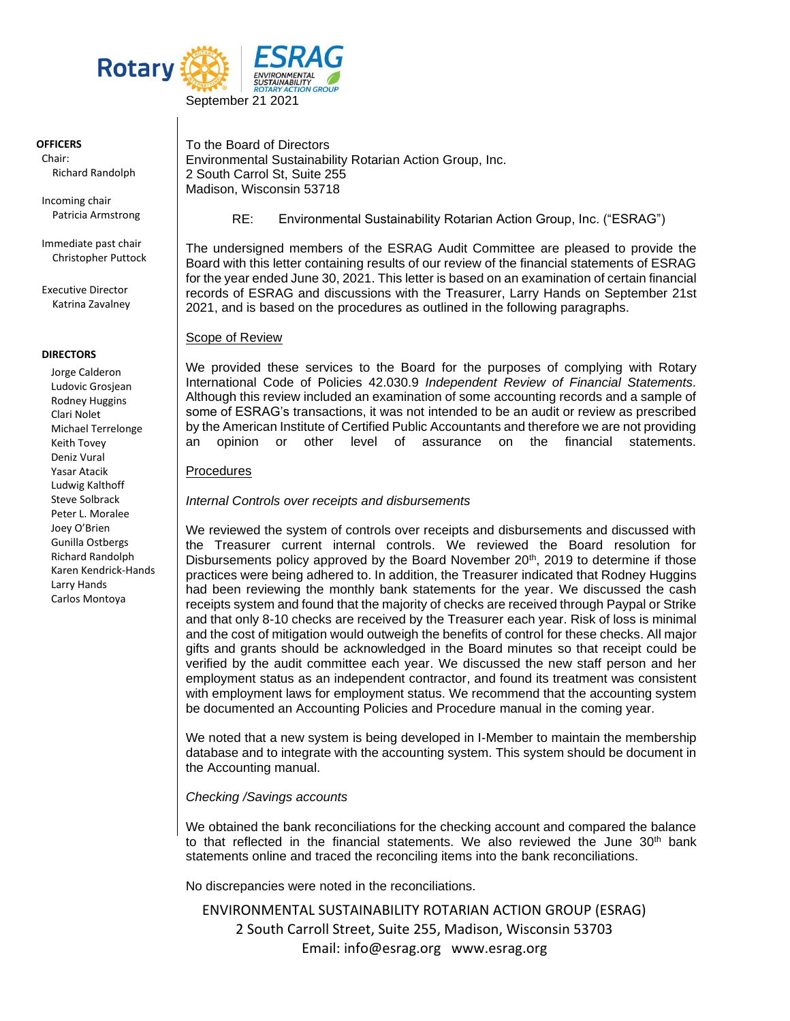

## **OFFICERS**

Chair: Richard Randolph

Incoming chair Patricia Armstrong

Immediate past chair Christopher Puttock

Executive Director Katrina Zavalney

#### **DIRECTORS**

Jorge Calderon Ludovic Grosjean Rodney Huggins Clari Nolet Michael Terrelonge Keith Tovey Deniz Vural Yasar Atacik Ludwig Kalthoff Steve Solbrack Peter L. Moralee Joey O'Brien Gunilla Ostbergs Richard Randolph Karen Kendrick-Hands Larry Hands Carlos Montoya

To the Board of Directors Environmental Sustainability Rotarian Action Group, Inc. 2 South Carrol St, Suite 255 Madison, Wisconsin 53718

RE: Environmental Sustainability Rotarian Action Group, Inc. ("ESRAG")

The undersigned members of the ESRAG Audit Committee are pleased to provide the Board with this letter containing results of our review of the financial statements of ESRAG for the year ended June 30, 2021. This letter is based on an examination of certain financial records of ESRAG and discussions with the Treasurer, Larry Hands on September 21st 2021, and is based on the procedures as outlined in the following paragraphs.

# Scope of Review

We provided these services to the Board for the purposes of complying with Rotary International Code of Policies 42.030.9 *Independent Review of Financial Statements.* Although this review included an examination of some accounting records and a sample of some of ESRAG's transactions, it was not intended to be an audit or review as prescribed by the American Institute of Certified Public Accountants and therefore we are not providing an opinion or other level of assurance on the financial statements.

## Procedures

## *Internal Controls over receipts and disbursements*

We reviewed the system of controls over receipts and disbursements and discussed with the Treasurer current internal controls. We reviewed the Board resolution for Disbursements policy approved by the Board November  $20<sup>th</sup>$ , 2019 to determine if those practices were being adhered to. In addition, the Treasurer indicated that Rodney Huggins had been reviewing the monthly bank statements for the year. We discussed the cash receipts system and found that the majority of checks are received through Paypal or Strike and that only 8-10 checks are received by the Treasurer each year. Risk of loss is minimal and the cost of mitigation would outweigh the benefits of control for these checks. All major gifts and grants should be acknowledged in the Board minutes so that receipt could be verified by the audit committee each year. We discussed the new staff person and her employment status as an independent contractor, and found its treatment was consistent with employment laws for employment status. We recommend that the accounting system be documented an Accounting Policies and Procedure manual in the coming year.

We noted that a new system is being developed in I-Member to maintain the membership database and to integrate with the accounting system. This system should be document in the Accounting manual.

### *Checking /Savings accounts*

We obtained the bank reconciliations for the checking account and compared the balance to that reflected in the financial statements. We also reviewed the June  $30<sup>th</sup>$  bank statements online and traced the reconciling items into the bank reconciliations.

No discrepancies were noted in the reconciliations.

ENVIRONMENTAL SUSTAINABILITY ROTARIAN ACTION GROUP (ESRAG) 2 South Carroll Street, Suite 255, Madison, Wisconsin 53703 Email: info@esrag.org www.esrag.org